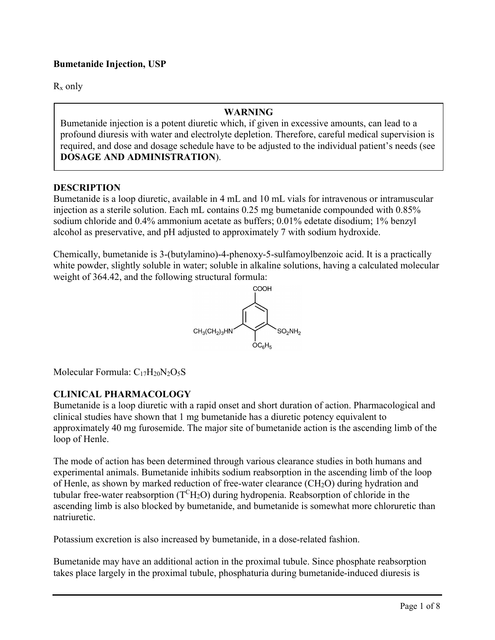# **Bumetanide Injection, USP**

 $R_x$  only

#### **WARNING**

Bumetanide injection is a potent diuretic which, if given in excessive amounts, can lead to a profound diuresis with water and electrolyte depletion. Therefore, careful medical supervision is required, and dose and dosage schedule have to be adjusted to the individual patient's needs (see **DOSAGE AND ADMINISTRATION**).

#### **DESCRIPTION**

Bumetanide is a loop diuretic, available in 4 mL and 10 mL vials for intravenous or intramuscular injection as a sterile solution. Each mL contains 0.25 mg bumetanide compounded with 0.85% sodium chloride and 0.4% ammonium acetate as buffers; 0.01% edetate disodium; 1% benzyl alcohol as preservative, and pH adjusted to approximately 7 with sodium hydroxide.

Chemically, bumetanide is 3-(butylamino)-4-phenoxy-5-sulfamoylbenzoic acid. It is a practically white powder, slightly soluble in water; soluble in alkaline solutions, having a calculated molecular weight of 364.42, and the following structural formula:



Molecular Formula:  $C_{17}H_{20}N_2O_5S$ 

### **CLINICAL PHARMACOLOGY**

Bumetanide is a loop diuretic with a rapid onset and short duration of action. Pharmacological and clinical studies have shown that 1 mg bumetanide has a diuretic potency equivalent to approximately 40 mg furosemide. The major site of bumetanide action is the ascending limb of the loop of Henle.

The mode of action has been determined through various clearance studies in both humans and experimental animals. Bumetanide inhibits sodium reabsorption in the ascending limb of the loop of Henle, as shown by marked reduction of free-water clearance  $(CH_2O)$  during hydration and tubular free-water reabsorption  $(T^{C}H_{2}O)$  during hydropenia. Reabsorption of chloride in the ascending limb is also blocked by bumetanide, and bumetanide is somewhat more chloruretic than natriuretic.

Potassium excretion is also increased by bumetanide, in a dose-related fashion.

Bumetanide may have an additional action in the proximal tubule. Since phosphate reabsorption takes place largely in the proximal tubule, phosphaturia during bumetanide-induced diuresis is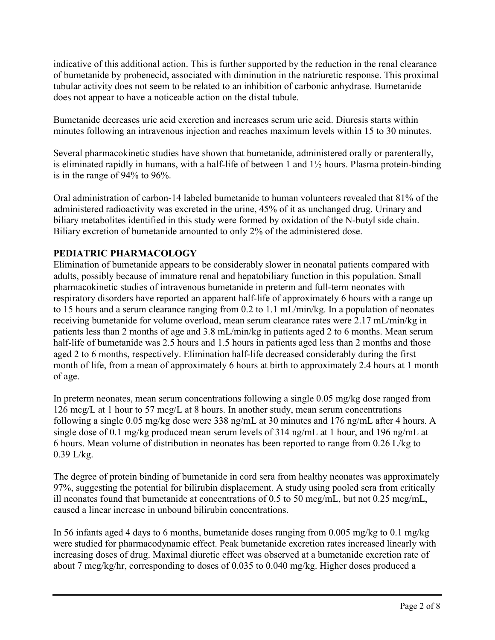indicative of this additional action. This is further supported by the reduction in the renal clearance of bumetanide by probenecid, associated with diminution in the natriuretic response. This proximal tubular activity does not seem to be related to an inhibition of carbonic anhydrase. Bumetanide does not appear to have a noticeable action on the distal tubule.

Bumetanide decreases uric acid excretion and increases serum uric acid. Diuresis starts within minutes following an intravenous injection and reaches maximum levels within 15 to 30 minutes.

Several pharmacokinetic studies have shown that bumetanide, administered orally or parenterally, is eliminated rapidly in humans, with a half-life of between 1 and 1½ hours. Plasma protein-binding is in the range of 94% to 96%.

Oral administration of carbon-14 labeled bumetanide to human volunteers revealed that 81% of the administered radioactivity was excreted in the urine, 45% of it as unchanged drug. Urinary and biliary metabolites identified in this study were formed by oxidation of the N-butyl side chain. Biliary excretion of bumetanide amounted to only 2% of the administered dose.

# **PEDIATRIC PHARMACOLOGY**

Elimination of bumetanide appears to be considerably slower in neonatal patients compared with adults, possibly because of immature renal and hepatobiliary function in this population. Small pharmacokinetic studies of intravenous bumetanide in preterm and full-term neonates with respiratory disorders have reported an apparent half-life of approximately 6 hours with a range up to 15 hours and a serum clearance ranging from 0.2 to 1.1 mL/min/kg. In a population of neonates receiving bumetanide for volume overload, mean serum clearance rates were 2.17 mL/min/kg in patients less than 2 months of age and 3.8 mL/min/kg in patients aged 2 to 6 months. Mean serum half-life of bumetanide was 2.5 hours and 1.5 hours in patients aged less than 2 months and those aged 2 to 6 months, respectively. Elimination half-life decreased considerably during the first month of life, from a mean of approximately 6 hours at birth to approximately 2.4 hours at 1 month of age.

In preterm neonates, mean serum concentrations following a single 0.05 mg/kg dose ranged from 126 mcg/L at 1 hour to 57 mcg/L at 8 hours. In another study, mean serum concentrations following a single 0.05 mg/kg dose were 338 ng/mL at 30 minutes and 176 ng/mL after 4 hours. A single dose of 0.1 mg/kg produced mean serum levels of 314 ng/mL at 1 hour, and 196 ng/mL at 6 hours. Mean volume of distribution in neonates has been reported to range from 0.26 L/kg to 0.39 L/kg.

The degree of protein binding of bumetanide in cord sera from healthy neonates was approximately 97%, suggesting the potential for bilirubin displacement. A study using pooled sera from critically ill neonates found that bumetanide at concentrations of 0.5 to 50 mcg/mL, but not 0.25 mcg/mL, caused a linear increase in unbound bilirubin concentrations.

In 56 infants aged 4 days to 6 months, bumetanide doses ranging from 0.005 mg/kg to 0.1 mg/kg were studied for pharmacodynamic effect. Peak bumetanide excretion rates increased linearly with increasing doses of drug. Maximal diuretic effect was observed at a bumetanide excretion rate of about 7 mcg/kg/hr, corresponding to doses of 0.035 to 0.040 mg/kg. Higher doses produced a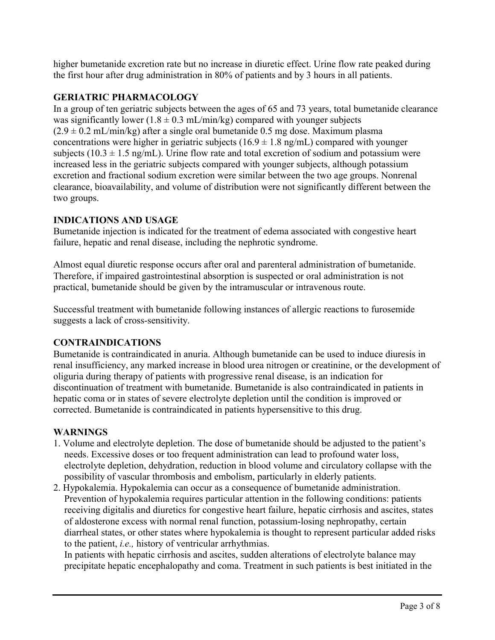higher bumetanide excretion rate but no increase in diuretic effect. Urine flow rate peaked during the first hour after drug administration in 80% of patients and by 3 hours in all patients.

# **GERIATRIC PHARMACOLOGY**

In a group of ten geriatric subjects between the ages of 65 and 73 years, total bumetanide clearance was significantly lower ( $1.8 \pm 0.3$  mL/min/kg) compared with younger subjects  $(2.9 \pm 0.2 \text{ mL/min/kg})$  after a single oral bumetanide 0.5 mg dose. Maximum plasma concentrations were higher in geriatric subjects ( $16.9 \pm 1.8$  ng/mL) compared with younger subjects (10.3  $\pm$  1.5 ng/mL). Urine flow rate and total excretion of sodium and potassium were increased less in the geriatric subjects compared with younger subjects, although potassium excretion and fractional sodium excretion were similar between the two age groups. Nonrenal clearance, bioavailability, and volume of distribution were not significantly different between the two groups.

# **INDICATIONS AND USAGE**

Bumetanide injection is indicated for the treatment of edema associated with congestive heart failure, hepatic and renal disease, including the nephrotic syndrome.

Almost equal diuretic response occurs after oral and parenteral administration of bumetanide. Therefore, if impaired gastrointestinal absorption is suspected or oral administration is not practical, bumetanide should be given by the intramuscular or intravenous route.

Successful treatment with bumetanide following instances of allergic reactions to furosemide suggests a lack of cross-sensitivity.

# **CONTRAINDICATIONS**

Bumetanide is contraindicated in anuria. Although bumetanide can be used to induce diuresis in renal insufficiency, any marked increase in blood urea nitrogen or creatinine, or the development of oliguria during therapy of patients with progressive renal disease, is an indication for discontinuation of treatment with bumetanide. Bumetanide is also contraindicated in patients in hepatic coma or in states of severe electrolyte depletion until the condition is improved or corrected. Bumetanide is contraindicated in patients hypersensitive to this drug.

### **WARNINGS**

- 1. Volume and electrolyte depletion. The dose of bumetanide should be adjusted to the patient's needs. Excessive doses or too frequent administration can lead to profound water loss, electrolyte depletion, dehydration, reduction in blood volume and circulatory collapse with the possibility of vascular thrombosis and embolism, particularly in elderly patients.
- 2. Hypokalemia. Hypokalemia can occur as a consequence of bumetanide administration. Prevention of hypokalemia requires particular attention in the following conditions: patients receiving digitalis and diuretics for congestive heart failure, hepatic cirrhosis and ascites, states of aldosterone excess with normal renal function, potassium-losing nephropathy, certain diarrheal states, or other states where hypokalemia is thought to represent particular added risks to the patient, *i.e.,* history of ventricular arrhythmias.

In patients with hepatic cirrhosis and ascites, sudden alterations of electrolyte balance may precipitate hepatic encephalopathy and coma. Treatment in such patients is best initiated in the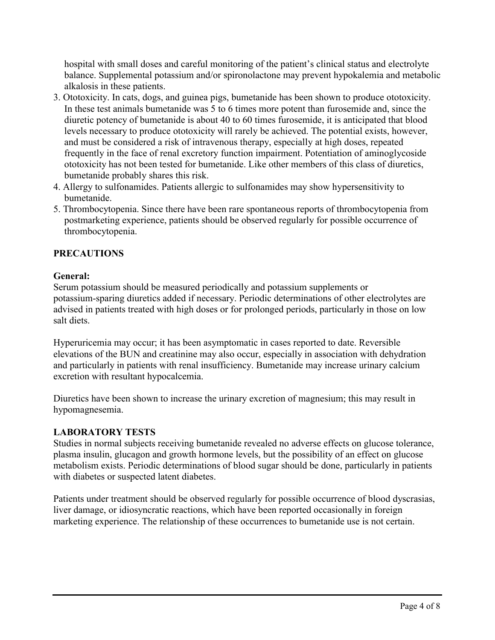hospital with small doses and careful monitoring of the patient's clinical status and electrolyte balance. Supplemental potassium and/or spironolactone may prevent hypokalemia and metabolic alkalosis in these patients.

- 3. Ototoxicity. In cats, dogs, and guinea pigs, bumetanide has been shown to produce ototoxicity. In these test animals bumetanide was 5 to 6 times more potent than furosemide and, since the diuretic potency of bumetanide is about 40 to 60 times furosemide, it is anticipated that blood levels necessary to produce ototoxicity will rarely be achieved. The potential exists, however, and must be considered a risk of intravenous therapy, especially at high doses, repeated frequently in the face of renal excretory function impairment. Potentiation of aminoglycoside ototoxicity has not been tested for bumetanide. Like other members of this class of diuretics, bumetanide probably shares this risk.
- 4. Allergy to sulfonamides. Patients allergic to sulfonamides may show hypersensitivity to bumetanide.
- 5. Thrombocytopenia. Since there have been rare spontaneous reports of thrombocytopenia from postmarketing experience, patients should be observed regularly for possible occurrence of thrombocytopenia.

# **PRECAUTIONS**

### **General:**

Serum potassium should be measured periodically and potassium supplements or potassium-sparing diuretics added if necessary. Periodic determinations of other electrolytes are advised in patients treated with high doses or for prolonged periods, particularly in those on low salt diets.

Hyperuricemia may occur; it has been asymptomatic in cases reported to date. Reversible elevations of the BUN and creatinine may also occur, especially in association with dehydration and particularly in patients with renal insufficiency. Bumetanide may increase urinary calcium excretion with resultant hypocalcemia.

Diuretics have been shown to increase the urinary excretion of magnesium; this may result in hypomagnesemia.

### **LABORATORY TESTS**

Studies in normal subjects receiving bumetanide revealed no adverse effects on glucose tolerance, plasma insulin, glucagon and growth hormone levels, but the possibility of an effect on glucose metabolism exists. Periodic determinations of blood sugar should be done, particularly in patients with diabetes or suspected latent diabetes.

Patients under treatment should be observed regularly for possible occurrence of blood dyscrasias, liver damage, or idiosyncratic reactions, which have been reported occasionally in foreign marketing experience. The relationship of these occurrences to bumetanide use is not certain.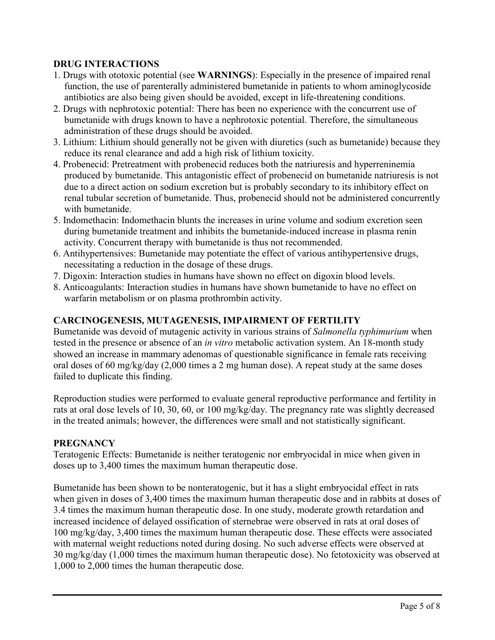# **DRUG INTERACTIONS**

- 1. Drugs with ototoxic potential (see **WARNINGS**): Especially in the presence of impaired renal function, the use of parenterally administered bumetanide in patients to whom aminoglycoside antibiotics are also being given should be avoided, except in life-threatening conditions.
- 2. Drugs with nephrotoxic potential: There has been no experience with the concurrent use of bumetanide with drugs known to have a nephrotoxic potential. Therefore, the simultaneous administration of these drugs should be avoided.
- 3. Lithium: Lithium should generally not be given with diuretics (such as bumetanide) because they reduce its renal clearance and add a high risk of lithium toxicity.
- 4. Probenecid: Pretreatment with probenecid reduces both the natriuresis and hyperreninemia produced by bumetanide. This antagonistic effect of probenecid on bumetanide natriuresis is not due to a direct action on sodium excretion but is probably secondary to its inhibitory effect on renal tubular secretion of bumetanide. Thus, probenecid should not be administered concurrently with bumetanide.
- 5. Indomethacin: Indomethacin blunts the increases in urine volume and sodium excretion seen during bumetanide treatment and inhibits the bumetanide-induced increase in plasma renin activity. Concurrent therapy with bumetanide is thus not recommended.
- 6. Antihypertensives: Bumetanide may potentiate the effect of various antihypertensive drugs, necessitating a reduction in the dosage of these drugs.
- 7. Digoxin: Interaction studies in humans have shown no effect on digoxin blood levels.
- 8. Anticoagulants: Interaction studies in humans have shown bumetanide to have no effect on warfarin metabolism or on plasma prothrombin activity.

# **CARCINOGENESIS, MUTAGENESIS, IMPAIRMENT OF FERTILITY**

Bumetanide was devoid of mutagenic activity in various strains of *Salmonella typhimurium* when tested in the presence or absence of an *in vitro* metabolic activation system. An 18-month study showed an increase in mammary adenomas of questionable significance in female rats receiving oral doses of 60 mg/kg/day (2,000 times a 2 mg human dose). A repeat study at the same doses failed to duplicate this finding.

Reproduction studies were performed to evaluate general reproductive performance and fertility in rats at oral dose levels of 10, 30, 60, or 100 mg/kg/day. The pregnancy rate was slightly decreased in the treated animals; however, the differences were small and not statistically significant.

### **PREGNANCY**

Teratogenic Effects: Bumetanide is neither teratogenic nor embryocidal in mice when given in doses up to 3,400 times the maximum human therapeutic dose.

Bumetanide has been shown to be nonteratogenic, but it has a slight embryocidal effect in rats when given in doses of 3,400 times the maximum human therapeutic dose and in rabbits at doses of 3.4 times the maximum human therapeutic dose. In one study, moderate growth retardation and increased incidence of delayed ossification of sternebrae were observed in rats at oral doses of 100 mg/kg/day, 3,400 times the maximum human therapeutic dose. These effects were associated with maternal weight reductions noted during dosing. No such adverse effects were observed at 30 mg/kg/day (1,000 times the maximum human therapeutic dose). No fetotoxicity was observed at 1,000 to 2,000 times the human therapeutic dose.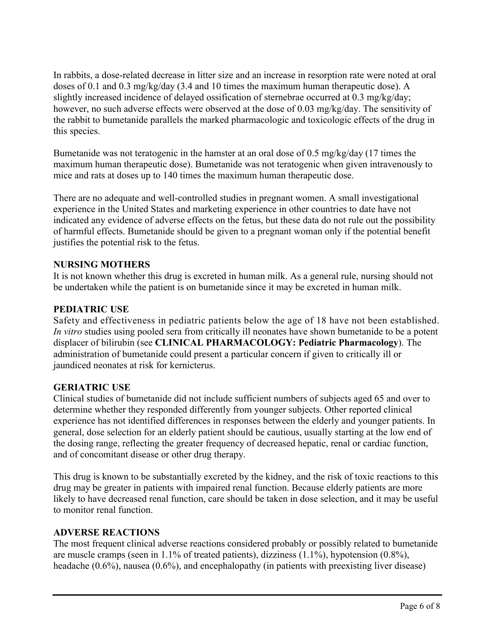In rabbits, a dose-related decrease in litter size and an increase in resorption rate were noted at oral doses of 0.1 and 0.3 mg/kg/day (3.4 and 10 times the maximum human therapeutic dose). A slightly increased incidence of delayed ossification of sternebrae occurred at 0.3 mg/kg/day; however, no such adverse effects were observed at the dose of 0.03 mg/kg/day. The sensitivity of the rabbit to bumetanide parallels the marked pharmacologic and toxicologic effects of the drug in this species.

Bumetanide was not teratogenic in the hamster at an oral dose of 0.5 mg/kg/day (17 times the maximum human therapeutic dose). Bumetanide was not teratogenic when given intravenously to mice and rats at doses up to 140 times the maximum human therapeutic dose.

There are no adequate and well-controlled studies in pregnant women. A small investigational experience in the United States and marketing experience in other countries to date have not indicated any evidence of adverse effects on the fetus, but these data do not rule out the possibility of harmful effects. Bumetanide should be given to a pregnant woman only if the potential benefit justifies the potential risk to the fetus.

# **NURSING MOTHERS**

It is not known whether this drug is excreted in human milk. As a general rule, nursing should not be undertaken while the patient is on bumetanide since it may be excreted in human milk.

# **PEDIATRIC USE**

Safety and effectiveness in pediatric patients below the age of 18 have not been established. *In vitro* studies using pooled sera from critically ill neonates have shown bumetanide to be a potent displacer of bilirubin (see **CLINICAL PHARMACOLOGY: Pediatric Pharmacology**). The administration of bumetanide could present a particular concern if given to critically ill or jaundiced neonates at risk for kernicterus.

# **GERIATRIC USE**

Clinical studies of bumetanide did not include sufficient numbers of subjects aged 65 and over to determine whether they responded differently from younger subjects. Other reported clinical experience has not identified differences in responses between the elderly and younger patients. In general, dose selection for an elderly patient should be cautious, usually starting at the low end of the dosing range, reflecting the greater frequency of decreased hepatic, renal or cardiac function, and of concomitant disease or other drug therapy.

This drug is known to be substantially excreted by the kidney, and the risk of toxic reactions to this drug may be greater in patients with impaired renal function. Because elderly patients are more likely to have decreased renal function, care should be taken in dose selection, and it may be useful to monitor renal function.

### **ADVERSE REACTIONS**

The most frequent clinical adverse reactions considered probably or possibly related to bumetanide are muscle cramps (seen in 1.1% of treated patients), dizziness (1.1%), hypotension (0.8%), headache (0.6%), nausea (0.6%), and encephalopathy (in patients with preexisting liver disease)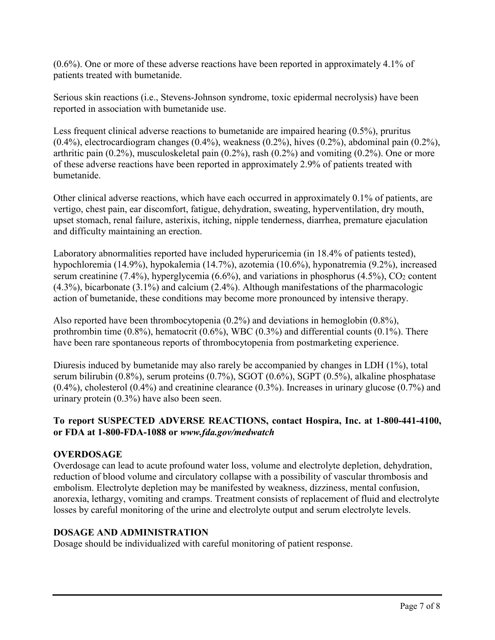(0.6%). One or more of these adverse reactions have been reported in approximately 4.1% of patients treated with bumetanide.

Serious skin reactions (i.e., Stevens-Johnson syndrome, toxic epidermal necrolysis) have been reported in association with bumetanide use.

Less frequent clinical adverse reactions to bumetanide are impaired hearing (0.5%), pruritus (0.4%), electrocardiogram changes (0.4%), weakness (0.2%), hives (0.2%), abdominal pain (0.2%), arthritic pain (0.2%), musculoskeletal pain (0.2%), rash (0.2%) and vomiting (0.2%). One or more of these adverse reactions have been reported in approximately 2.9% of patients treated with bumetanide.

Other clinical adverse reactions, which have each occurred in approximately 0.1% of patients, are vertigo, chest pain, ear discomfort, fatigue, dehydration, sweating, hyperventilation, dry mouth, upset stomach, renal failure, asterixis, itching, nipple tenderness, diarrhea, premature ejaculation and difficulty maintaining an erection.

Laboratory abnormalities reported have included hyperuricemia (in 18.4% of patients tested), hypochloremia (14.9%), hypokalemia (14.7%), azotemia (10.6%), hyponatremia (9.2%), increased serum creatinine (7.4%), hyperglycemia (6.6%), and variations in phosphorus (4.5%),  $CO<sub>2</sub>$  content (4.3%), bicarbonate (3.1%) and calcium (2.4%). Although manifestations of the pharmacologic action of bumetanide, these conditions may become more pronounced by intensive therapy.

Also reported have been thrombocytopenia (0.2%) and deviations in hemoglobin (0.8%), prothrombin time  $(0.8\%)$ , hematocrit  $(0.6\%)$ , WBC  $(0.3\%)$  and differential counts  $(0.1\%)$ . There have been rare spontaneous reports of thrombocytopenia from postmarketing experience.

Diuresis induced by bumetanide may also rarely be accompanied by changes in LDH (1%), total serum bilirubin (0.8%), serum proteins (0.7%), SGOT (0.6%), SGPT (0.5%), alkaline phosphatase (0.4%), cholesterol (0.4%) and creatinine clearance (0.3%). Increases in urinary glucose (0.7%) and urinary protein (0.3%) have also been seen.

# **To report SUSPECTED ADVERSE REACTIONS, contact Hospira, Inc. at 1-800-441-4100, or FDA at 1-800-FDA-1088 or** *www.fda.gov/medwatch*

# **OVERDOSAGE**

Overdosage can lead to acute profound water loss, volume and electrolyte depletion, dehydration, reduction of blood volume and circulatory collapse with a possibility of vascular thrombosis and embolism. Electrolyte depletion may be manifested by weakness, dizziness, mental confusion, anorexia, lethargy, vomiting and cramps. Treatment consists of replacement of fluid and electrolyte losses by careful monitoring of the urine and electrolyte output and serum electrolyte levels.

### **DOSAGE AND ADMINISTRATION**

Dosage should be individualized with careful monitoring of patient response.